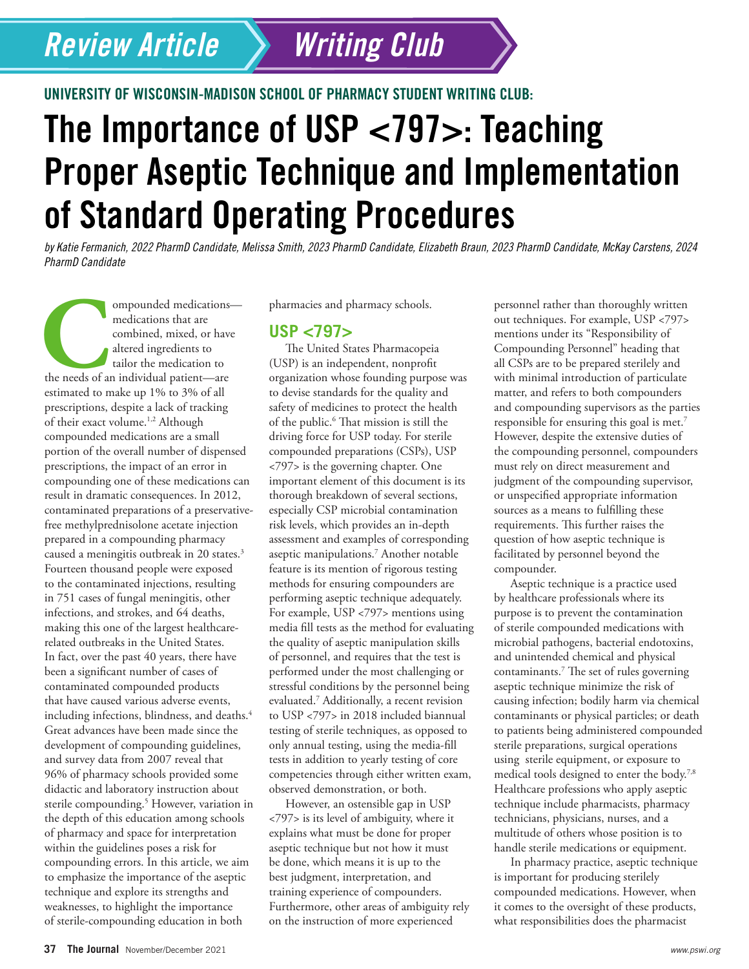## *Review Article*

UNIVERSITY OF WISCONSIN-MADISON SCHOOL OF PHARMACY STUDENT WRITING CLUB:

# The Importance of USP <797>: Teaching Proper Aseptic Technique and Implementation of Standard Operating Procedures

*Writing Club*

*by Katie Fermanich, 2022 PharmD Candidate, Melissa Smith, 2023 PharmD Candidate, Elizabeth Braun, 2023 PharmD Candidate, McKay Carstens, 2024 PharmD Candidate*

ompounded medications—<br>
medications that are<br>
combined, mixed, or have<br>
altered ingredients to<br>
tailor the medication to<br>
the needs of an individual patient—are<br>
serimeted to make un 10% to 30% of all medications that are combined, mixed, or have altered ingredients to tailor the medication to estimated to make up 1% to 3% of all prescriptions, despite a lack of tracking of their exact volume.<sup>1,2</sup> Although compounded medications are a small portion of the overall number of dispensed prescriptions, the impact of an error in compounding one of these medications can result in dramatic consequences. In 2012, contaminated preparations of a preservativefree methylprednisolone acetate injection prepared in a compounding pharmacy caused a meningitis outbreak in 20 states.<sup>3</sup> Fourteen thousand people were exposed to the contaminated injections, resulting in 751 cases of fungal meningitis, other infections, and strokes, and 64 deaths, making this one of the largest healthcarerelated outbreaks in the United States. In fact, over the past 40 years, there have been a significant number of cases of contaminated compounded products that have caused various adverse events, including infections, blindness, and deaths.<sup>4</sup> Great advances have been made since the development of compounding guidelines, and survey data from 2007 reveal that 96% of pharmacy schools provided some didactic and laboratory instruction about sterile compounding.<sup>5</sup> However, variation in the depth of this education among schools of pharmacy and space for interpretation within the guidelines poses a risk for compounding errors. In this article, we aim to emphasize the importance of the aseptic technique and explore its strengths and weaknesses, to highlight the importance of sterile-compounding education in both

pharmacies and pharmacy schools.

#### **USP <797>**

The United States Pharmacopeia (USP) is an independent, nonprofit organization whose founding purpose was to devise standards for the quality and safety of medicines to protect the health of the public.<sup>6</sup> That mission is still the driving force for USP today. For sterile compounded preparations (CSPs), USP <797> is the governing chapter. One important element of this document is its thorough breakdown of several sections, especially CSP microbial contamination risk levels, which provides an in-depth assessment and examples of corresponding aseptic manipulations.7 Another notable feature is its mention of rigorous testing methods for ensuring compounders are performing aseptic technique adequately. For example, USP <797> mentions using media fill tests as the method for evaluating the quality of aseptic manipulation skills of personnel, and requires that the test is performed under the most challenging or stressful conditions by the personnel being evaluated.7 Additionally, a recent revision to USP <797> in 2018 included biannual testing of sterile techniques, as opposed to only annual testing, using the media-fill tests in addition to yearly testing of core competencies through either written exam, observed demonstration, or both.

However, an ostensible gap in USP <797> is its level of ambiguity, where it explains what must be done for proper aseptic technique but not how it must be done, which means it is up to the best judgment, interpretation, and training experience of compounders. Furthermore, other areas of ambiguity rely on the instruction of more experienced

personnel rather than thoroughly written out techniques. For example, USP <797> mentions under its "Responsibility of Compounding Personnel" heading that all CSPs are to be prepared sterilely and with minimal introduction of particulate matter, and refers to both compounders and compounding supervisors as the parties responsible for ensuring this goal is met.7 However, despite the extensive duties of the compounding personnel, compounders must rely on direct measurement and judgment of the compounding supervisor, or unspecified appropriate information sources as a means to fulfilling these requirements. This further raises the question of how aseptic technique is facilitated by personnel beyond the compounder.

Aseptic technique is a practice used by healthcare professionals where its purpose is to prevent the contamination of sterile compounded medications with microbial pathogens, bacterial endotoxins, and unintended chemical and physical contaminants.7 The set of rules governing aseptic technique minimize the risk of causing infection; bodily harm via chemical contaminants or physical particles; or death to patients being administered compounded sterile preparations, surgical operations using sterile equipment, or exposure to medical tools designed to enter the body.7,8 Healthcare professions who apply aseptic technique include pharmacists, pharmacy technicians, physicians, nurses, and a multitude of others whose position is to handle sterile medications or equipment.

In pharmacy practice, aseptic technique is important for producing sterilely compounded medications. However, when it comes to the oversight of these products, what responsibilities does the pharmacist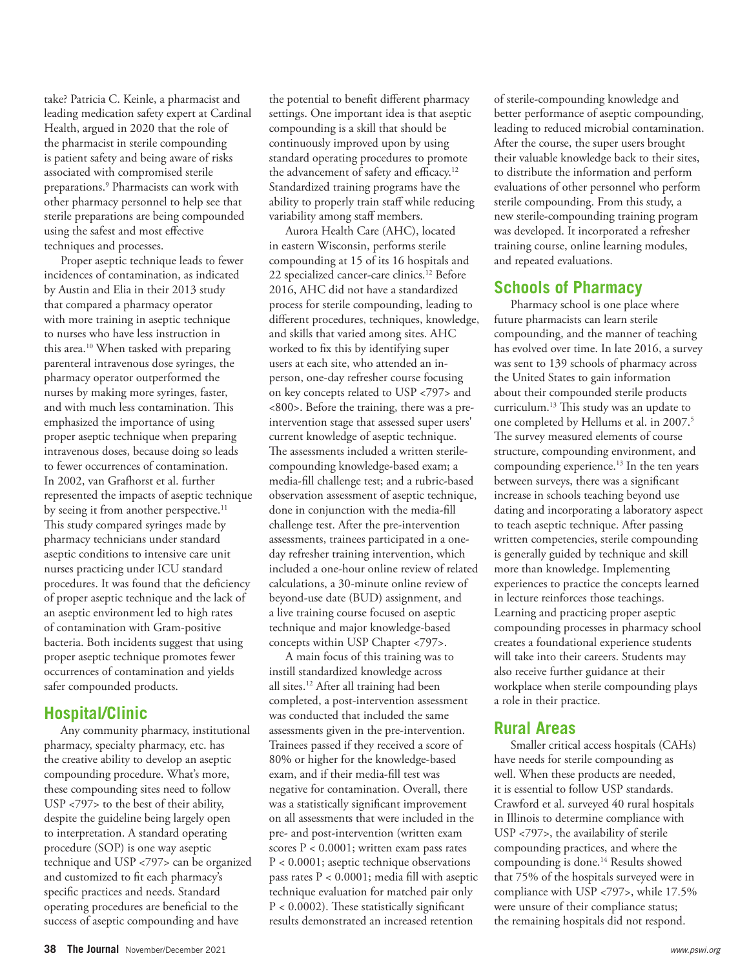take? Patricia C. Keinle, a pharmacist and leading medication safety expert at Cardinal Health, argued in 2020 that the role of the pharmacist in sterile compounding is patient safety and being aware of risks associated with compromised sterile preparations.9 Pharmacists can work with other pharmacy personnel to help see that sterile preparations are being compounded using the safest and most effective techniques and processes.

Proper aseptic technique leads to fewer incidences of contamination, as indicated by Austin and Elia in their 2013 study that compared a pharmacy operator with more training in aseptic technique to nurses who have less instruction in this area.10 When tasked with preparing parenteral intravenous dose syringes, the pharmacy operator outperformed the nurses by making more syringes, faster, and with much less contamination. This emphasized the importance of using proper aseptic technique when preparing intravenous doses, because doing so leads to fewer occurrences of contamination. In 2002, van Grafhorst et al. further represented the impacts of aseptic technique by seeing it from another perspective.<sup>11</sup> This study compared syringes made by pharmacy technicians under standard aseptic conditions to intensive care unit nurses practicing under ICU standard procedures. It was found that the deficiency of proper aseptic technique and the lack of an aseptic environment led to high rates of contamination with Gram-positive bacteria. Both incidents suggest that using proper aseptic technique promotes fewer occurrences of contamination and yields safer compounded products.

#### **Hospital/Clinic**

Any community pharmacy, institutional pharmacy, specialty pharmacy, etc. has the creative ability to develop an aseptic compounding procedure. What's more, these compounding sites need to follow USP <797> to the best of their ability, despite the guideline being largely open to interpretation. A standard operating procedure (SOP) is one way aseptic technique and USP <797> can be organized and customized to fit each pharmacy's specific practices and needs. Standard operating procedures are beneficial to the success of aseptic compounding and have

the potential to benefit different pharmacy settings. One important idea is that aseptic compounding is a skill that should be continuously improved upon by using standard operating procedures to promote the advancement of safety and efficacy.<sup>12</sup> Standardized training programs have the ability to properly train staff while reducing variability among staff members.

Aurora Health Care (AHC), located in eastern Wisconsin, performs sterile compounding at 15 of its 16 hospitals and 22 specialized cancer-care clinics.<sup>12</sup> Before 2016, AHC did not have a standardized process for sterile compounding, leading to different procedures, techniques, knowledge, and skills that varied among sites. AHC worked to fix this by identifying super users at each site, who attended an inperson, one-day refresher course focusing on key concepts related to USP <797> and <800>. Before the training, there was a preintervention stage that assessed super users' current knowledge of aseptic technique. The assessments included a written sterilecompounding knowledge-based exam; a media-fill challenge test; and a rubric-based observation assessment of aseptic technique, done in conjunction with the media-fill challenge test. After the pre-intervention assessments, trainees participated in a oneday refresher training intervention, which included a one-hour online review of related calculations, a 30-minute online review of beyond-use date (BUD) assignment, and a live training course focused on aseptic technique and major knowledge-based concepts within USP Chapter <797>.

A main focus of this training was to instill standardized knowledge across all sites.<sup>12</sup> After all training had been completed, a post-intervention assessment was conducted that included the same assessments given in the pre-intervention. Trainees passed if they received a score of 80% or higher for the knowledge-based exam, and if their media-fill test was negative for contamination. Overall, there was a statistically significant improvement on all assessments that were included in the pre- and post-intervention (written exam scores  $P < 0.0001$ ; written exam pass rates P < 0.0001; aseptic technique observations pass rates P < 0.0001; media fill with aseptic technique evaluation for matched pair only  $P < 0.0002$ ). These statistically significant results demonstrated an increased retention

of sterile-compounding knowledge and better performance of aseptic compounding, leading to reduced microbial contamination. After the course, the super users brought their valuable knowledge back to their sites, to distribute the information and perform evaluations of other personnel who perform sterile compounding. From this study, a new sterile-compounding training program was developed. It incorporated a refresher training course, online learning modules, and repeated evaluations.

#### **Schools of Pharmacy**

Pharmacy school is one place where future pharmacists can learn sterile compounding, and the manner of teaching has evolved over time. In late 2016, a survey was sent to 139 schools of pharmacy across the United States to gain information about their compounded sterile products curriculum.<sup>13</sup> This study was an update to one completed by Hellums et al. in 2007.<sup>5</sup> The survey measured elements of course structure, compounding environment, and compounding experience.<sup>13</sup> In the ten years between surveys, there was a significant increase in schools teaching beyond use dating and incorporating a laboratory aspect to teach aseptic technique. After passing written competencies, sterile compounding is generally guided by technique and skill more than knowledge. Implementing experiences to practice the concepts learned in lecture reinforces those teachings. Learning and practicing proper aseptic compounding processes in pharmacy school creates a foundational experience students will take into their careers. Students may also receive further guidance at their workplace when sterile compounding plays a role in their practice.

### **Rural Areas**

Smaller critical access hospitals (CAHs) have needs for sterile compounding as well. When these products are needed, it is essential to follow USP standards. Crawford et al. surveyed 40 rural hospitals in Illinois to determine compliance with USP <797>, the availability of sterile compounding practices, and where the compounding is done.<sup>14</sup> Results showed that 75% of the hospitals surveyed were in compliance with USP <797>, while 17.5% were unsure of their compliance status; the remaining hospitals did not respond.